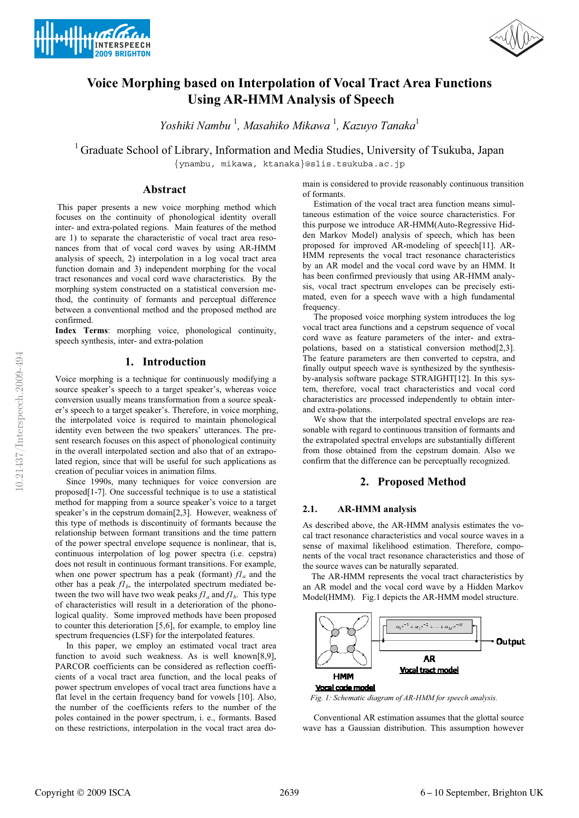



# **Voice Morphing based on Interpolation of Vocal Tract Area Functions Using AR-HMM Analysis of Speech**

*Yoshiki Nambu* <sup>1</sup> *, Masahiko Mikawa* <sup>1</sup> *, Kazuyo Tanaka*<sup>1</sup>

<sup>1</sup> Graduate School of Library, Information and Media Studies, University of Tsukuba, Japan

{ynambu, mikawa, ktanaka}@slis.tsukuba.ac.jp

## **Abstract**

 This paper presents a new voice morphing method which focuses on the continuity of phonological identity overall inter- and extra-polated regions. Main features of the method are 1) to separate the characteristic of vocal tract area resonances from that of vocal cord waves by using AR-HMM analysis of speech, 2) interpolation in a log vocal tract area function domain and 3) independent morphing for the vocal tract resonances and vocal cord wave characteristics. By the morphing system constructed on a statistical conversion method, the continuity of formants and perceptual difference between a conventional method and the proposed method are confirmed.

**Index Terms**: morphing voice, phonological continuity, speech synthesis, inter- and extra-polation

## **1. Introduction**

Voice morphing is a technique for continuously modifying a source speaker's speech to a target speaker's, whereas voice conversion usually means transformation from a source speaker's speech to a target speaker's. Therefore, in voice morphing, the interpolated voice is required to maintain phonological identity even between the two speakers' utterances. The present research focuses on this aspect of phonological continuity in the overall interpolated section and also that of an extrapolated region, since that will be useful for such applications as creation of peculiar voices in animation films.

 Since 1990s, many techniques for voice conversion are proposed[1-7]. One successful technique is to use a statistical method for mapping from a source speaker's voice to a target speaker's in the cepstrum domain[2,3]. However, weakness of this type of methods is discontinuity of formants because the relationship between formant transitions and the time pattern of the power spectral envelope sequence is nonlinear, that is, continuous interpolation of log power spectra (i.e. cepstra) does not result in continuous formant transitions. For example, when one power spectrum has a peak (formant)  $f_4$  and the other has a peak  $f_l$ <sub>b</sub>, the interpolated spectrum mediated between the two will have two weak peaks  $f_l$ <sub>a</sub> and  $f_l$ <sub>b</sub>. This type of characteristics will result in a deterioration of the phonological quality. Some improved methods have been proposed to counter this deterioration [5,6], for example, to employ line spectrum frequencies (LSF) for the interpolated features.

 In this paper, we employ an estimated vocal tract area function to avoid such weakness. As is well known[8,9], PARCOR coefficients can be considered as reflection coefficients of a vocal tract area function, and the local peaks of power spectrum envelopes of vocal tract area functions have a flat level in the certain frequency band for vowels [10]. Also, the number of the coefficients refers to the number of the poles contained in the power spectrum, i. e., formants. Based on these restrictions, interpolation in the vocal tract area domain is considered to provide reasonably continuous transition of formants.

 Estimation of the vocal tract area function means simultaneous estimation of the voice source characteristics. For this purpose we introduce AR-HMM(Auto-Regressive Hidden Markov Model) analysis of speech, which has been proposed for improved AR-modeling of speech[11]. AR-HMM represents the vocal tract resonance characteristics by an AR model and the vocal cord wave by an HMM. It has been confirmed previously that using AR-HMM analysis, vocal tract spectrum envelopes can be precisely estimated, even for a speech wave with a high fundamental frequency.

 The proposed voice morphing system introduces the log vocal tract area functions and a cepstrum sequence of vocal cord wave as feature parameters of the inter- and extrapolations, based on a statistical conversion method[2,3]. The feature parameters are then converted to cepstra, and finally output speech wave is synthesized by the synthesisby-analysis software package STRAIGHT[12]. In this system, therefore, vocal tract characteristics and vocal cord characteristics are processed independently to obtain interand extra-polations.

 We show that the interpolated spectral envelops are reasonable with regard to continuous transition of formants and the extrapolated spectral envelops are substantially different from those obtained from the cepstrum domain. Also we confirm that the difference can be perceptually recognized.

## **2. Proposed Method**

## **2.1. AR-HMM analysis**

As described above, the AR-HMM analysis estimates the vocal tract resonance characteristics and vocal source waves in a sense of maximal likelihood estimation. Therefore, components of the vocal tract resonance characteristics and those of the source waves can be naturally separated.

 The AR-HMM represents the vocal tract characteristics by an AR model and the vocal cord wave by a Hidden Markov Model(HMM). Fig.1 depicts the AR-HMM model structure.



*Fig. 1: Schematic diagram of AR-HMM for speech analysis.* 

 Conventional AR estimation assumes that the glottal source wave has a Gaussian distribution. This assumption however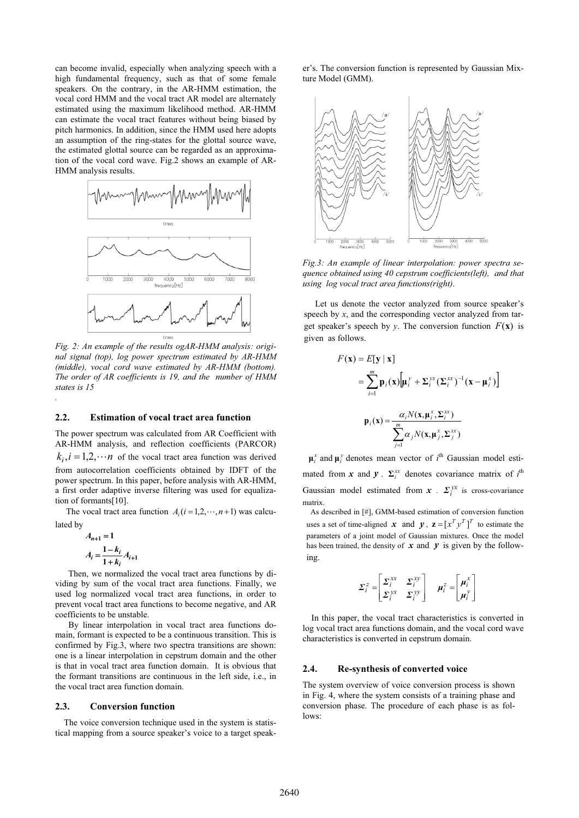can become invalid, especially when analyzing speech with a high fundamental frequency, such as that of some female speakers. On the contrary, in the AR-HMM estimation, the vocal cord HMM and the vocal tract AR model are alternately estimated using the maximum likelihood method. AR-HMM can estimate the vocal tract features without being biased by pitch harmonics. In addition, since the HMM used here adopts an assumption of the ring-states for the glottal source wave, the estimated glottal source can be regarded as an approximation of the vocal cord wave. Fig.2 shows an example of AR-HMM analysis results.



*Fig. 2: An example of the results ogAR-HMM analysis: original signal (top), log power spectrum estimated by AR-HMM (middle), vocal cord wave estimated by AR-HMM (bottom). The order of AR coefficients is 19, and the number of HMM states is 15* 

#### **2.2. Estimation of vocal tract area function**

The power spectrum was calculated from AR Coefficient with AR-HMM analysis, and reflection coefficients (PARCOR)  $k_i$ ,  $i = 1, 2, \dots n$  of the vocal tract area function was derived from autocorrelation coefficients obtained by IDFT of the power spectrum. In this paper, before analysis with AR-HMM, a first order adaptive inverse filtering was used for equalization of formants[10].

The vocal tract area function  $A_i$  ( $i = 1, 2, \dots, n+1$ ) was calculated by

$$
A_{n+1} = 1
$$
  

$$
A_i = \frac{1 - k_i}{1 + k_i} A_{i+1}
$$

*.*

 Then, we normalized the vocal tract area functions by dividing by sum of the vocal tract area functions. Finally, we used log normalized vocal tract area functions, in order to prevent vocal tract area functions to become negative, and AR coefficients to be unstable.

 By linear interpolation in vocal tract area functions domain, formant is expected to be a continuous transition. This is confirmed by Fig.3, where two spectra transitions are shown: one is a linear interpolation in cepstrum domain and the other is that in vocal tract area function domain. It is obvious that the formant transitions are continuous in the left side, i.e., in the vocal tract area function domain.

## **2.3. Conversion function**

The voice conversion technique used in the system is statistical mapping from a source speaker's voice to a target speaker's. The conversion function is represented by Gaussian Mixture Model (GMM).



*Fig.3: An example of linear interpolation: power spectra sequence obtained using 40 cepstrum coefficients(left), and that using log vocal tract area functions(right)*.

 Let us denote the vector analyzed from source speaker's speech by *x*, and the corresponding vector analyzed from target speaker's speech by *y*. The conversion function  $F(\mathbf{x})$  is given as follows.

$$
F(\mathbf{x}) = E[\mathbf{y} | \mathbf{x}]
$$
  
= 
$$
\sum_{i=1}^{m} \mathbf{p}_i(\mathbf{x}) \Big[ \mathbf{\mu}_i^y + \Sigma_i^{yx} (\Sigma_i^{xx})^{-1} (\mathbf{x} - \mathbf{\mu}_i^x) \Big]
$$
  

$$
\mathbf{p}_i(\mathbf{x}) = \frac{\alpha_i N(\mathbf{x}, \mathbf{\mu}_i^x, \Sigma_i^{xx})}{\sum_{j=1}^{m} \alpha_j N(\mathbf{x}, \mathbf{\mu}_j^x, \Sigma_j^{xx})}
$$

 $\mu_i^x$  and  $\mu_i^y$  denotes mean vector of  $i^{\text{th}}$  Gaussian model estimated from *x* and *y*.  $\Sigma_i^{xx}$  denotes covariance matrix of  $i^{\text{th}}$ Gaussian model estimated from  $x$  .  $\Sigma_i^{yx}$  is cross-covariance matrix.

As described in [#], GMM-based estimation of conversion function uses a set of time-aligned *x* and *y*,  $z = [x^T y^T]^T$  to estimate the parameters of a joint model of Gaussian mixtures. Once the model has been trained, the density of  $x$  and  $y$  is given by the following.

$$
\Sigma_i^z = \begin{bmatrix} \Sigma_i^{xx} & \Sigma_i^{xy} \\ \Sigma_i^{yx} & \Sigma_i^{yy} \end{bmatrix} \quad \mu_i^z = \begin{bmatrix} \mu_i^x \\ \mu_i^y \end{bmatrix}
$$

In this paper, the vocal tract characteristics is converted in log vocal tract area functions domain, and the vocal cord wave characteristics is converted in cepstrum domain.

#### **2.4. Re-synthesis of converted voice**

The system overview of voice conversion process is shown in Fig. 4, where the system consists of a training phase and conversion phase. The procedure of each phase is as follows: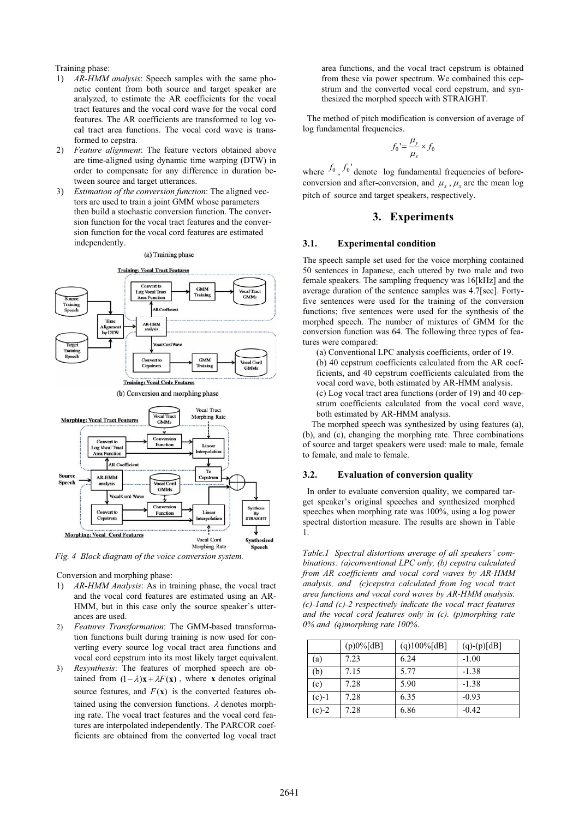#### Training phase:

- 1) *AR-HMM analysis*: Speech samples with the same phonetic content from both source and target speaker are analyzed, to estimate the AR coefficients for the vocal tract features and the vocal cord wave for the vocal cord features. The AR coefficients are transformed to log vocal tract area functions. The vocal cord wave is transformed to cepstra.
- 2) *Feature alignment*: The feature vectors obtained above are time-aligned using dynamic time warping (DTW) in order to compensate for any difference in duration between source and target utterances.
- 3) *Estimation of the conversion function*: The aligned vectors are used to train a joint GMM whose parameters then build a stochastic conversion function. The conversion function for the vocal tract features and the conversion function for the vocal cord features are estimated independently.

(a) Training phase



*Fig. 4 Block diagram of the voice conversion system.* 

Conversion and morphing phase:

- AR-HMM Analysis: As in training phase, the vocal tract and the vocal cord features are estimated using an AR-HMM, but in this case only the source speaker's utterances are used.
- 2) *Features Transformation*: The GMM-based transformation functions built during training is now used for converting every source log vocal tract area functions and vocal cord cepstrum into its most likely target equivalent.
- 3) *Resynthesis*: The features of morphed speech are obtained from  $(1 - \lambda)\mathbf{x} + \lambda F(\mathbf{x})$ , where **x** denotes original source features, and  $F(\mathbf{x})$  is the converted features obtained using the conversion functions.  $\lambda$  denotes morphing rate. The vocal tract features and the vocal cord features are interpolated independently. The PARCOR coefficients are obtained from the converted log vocal tract

area functions, and the vocal tract cepstrum is obtained from these via power spectrum. We combained this cepstrum and the converted vocal cord cepstrum, and synthesized the morphed speech with STRAIGHT.

The method of pitch modification is conversion of average of log fundamental frequencies.

$$
f_0' = \frac{\mu_y}{\mu_x} \times f_0
$$

where  $f_0$ ,  $f_0'$  denote log fundamental frequencies of beforeconversion and after-conversion, and  $\mu_x$ ,  $\mu_x$  are the mean log pitch of source and target speakers, respectively.

## **3. Experiments**

## **3.1. Experimental condition**

The speech sample set used for the voice morphing contained 50 sentences in Japanese, each uttered by two male and two female speakers. The sampling frequency was 16[kHz] and the average duration of the sentence samples was 4.7[sec]. Fortyfive sentences were used for the training of the conversion functions; five sentences were used for the synthesis of the morphed speech. The number of mixtures of GMM for the conversion function was 64. The following three types of features were compared:

(a) Conventional LPC analysis coefficients, order of 19. (b) 40 cepstrum coefficients calculated from the AR coefficients, and 40 cepstrum coefficients calculated from the vocal cord wave, both estimated by AR-HMM analysis. (c) Log vocal tract area functions (order of 19) and 40 cepstrum coefficients calculated from the vocal cord wave, both estimated by AR-HMM analysis.

 The morphed speech was synthesized by using features (a), (b), and (c), changing the morphing rate. Three combinations of source and target speakers were used: male to male, female to female, and male to female.

## **3.2. Evaluation of conversion quality**

In order to evaluate conversion quality, we compared target speaker's original speeches and synthesized morphed speeches when morphing rate was 100%, using a log power spectral distortion measure. The results are shown in Table 1.

*Table.1 Spectral distortions average of all speakers' combinations: (a)conventional LPC only, (b) cepstra calculated from AR coefficients and vocal cord waves by AR-HMM analysis, and (c)cepstra calculated from log vocal tract area functions and vocal cord waves by AR-HMM analysis. (c)-1and (c)-2 respectively indicate the vocal tract features and the vocal cord features only in (c). (p)morphing rate 0% and (q)morphing rate 100%*.

|         | $(p)0\%$ [dB] | $(q)100\%[dB]$ | $(q)-(p)[dB]$ |
|---------|---------------|----------------|---------------|
| (a)     | 7.23          | 6.24           | $-1.00$       |
| (b)     | 7.15          | 5.77           | $-1.38$       |
| (c)     | 7.28          | 5.90           | $-1.38$       |
| $(c)-1$ | 7.28          | 6.35           | $-0.93$       |
| $(c)-2$ | 7.28          | 6.86           | $-0.42$       |